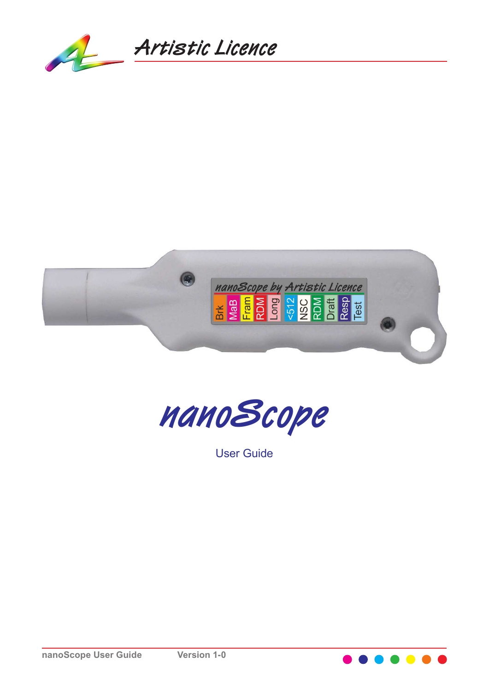





User Guide

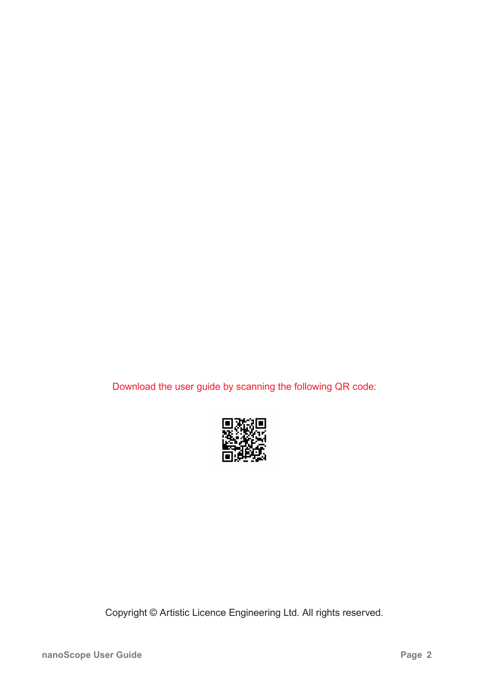Download the user guide by scanning the following QR code:



Copyright © Artistic Licence Engineering Ltd. All rights reserved.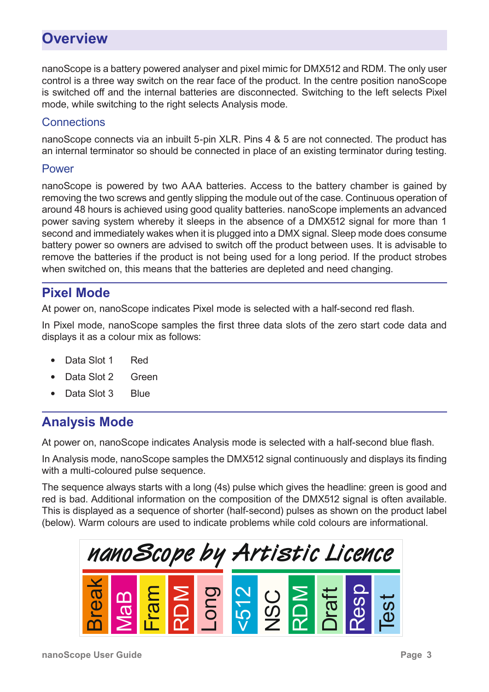## **Overview**

nanoScope is a battery powered analyser and pixel mimic for DMX512 and RDM. The only user control is a three way switch on the rear face of the product. In the centre position nanoScope is switched off and the internal batteries are disconnected. Switching to the left selects Pixel mode, while switching to the right selects Analysis mode.

#### **Connections**

nanoScope connects via an inbuilt 5-pin XLR. Pins 4 & 5 are not connected. The product has an internal terminator so should be connected in place of an existing terminator during testing.

#### Power

nanoScope is powered by two AAA batteries. Access to the battery chamber is gained by removing the two screws and gently slipping the module out of the case. Continuous operation of around 48 hours is achieved using good quality batteries. nanoScope implements an advanced power saving system whereby it sleeps in the absence of a DMX512 signal for more than 1 second and immediately wakes when it is plugged into a DMX signal. Sleep mode does consume battery power so owners are advised to switch off the product between uses. It is advisable to remove the batteries if the product is not being used for a long period. If the product strobes when switched on, this means that the batteries are depleted and need changing.

### **Pixel Mode**

At power on, nanoScope indicates Pixel mode is selected with a half-second red flash.

In Pixel mode, nanoScope samples the first three data slots of the zero start code data and displays it as a colour mix as follows:

- Data Slot 1 Red
- Data Slot 2 Green
- Data Slot 3 Blue

### **Analysis Mode**

At power on, nanoScope indicates Analysis mode is selected with a half-second blue flash.

In Analysis mode, nanoScope samples the DMX512 signal continuously and displays its finding with a multi-coloured pulse sequence.

The sequence always starts with a long (4s) pulse which gives the headline: green is good and red is bad. Additional information on the composition of the DMX512 signal is often available. This is displayed as a sequence of shorter (half-second) pulses as shown on the product label (below). Warm colours are used to indicate problems while cold colours are informational.

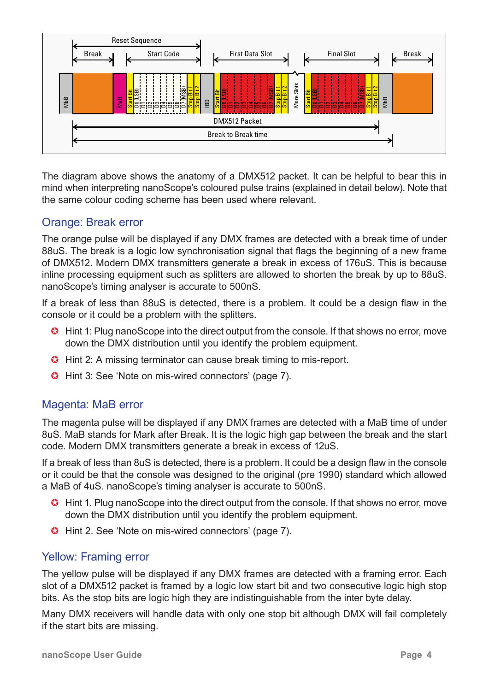

The diagram above shows the anatomy of a DMX512 packet. It can be helpful to bear this in mind when interpreting nanoScope's coloured pulse trains (explained in detail below). Note that the same colour coding scheme has been used where relevant.

#### Orange: Break error

The orange pulse will be displayed if any DMX frames are detected with a break time of under 88uS. The break is a logic low synchronisation signal that flags the beginning of a new frame of DMX512. Modern DMX transmitters generate a break in excess of 176uS. This is because inline processing equipment such as splitters are allowed to shorten the break by up to 88uS. nanoScope's timing analyser is accurate to 500nS.

If a break of less than 88uS is detected, there is a problem. It could be a design flaw in the console or it could be a problem with the splitters.

- **G** Hint 1: Plug nanoScope into the direct output from the console. If that shows no error, move down the DMX distribution until you identify the problem equipment.
- **G** Hint 2: A missing terminator can cause break timing to mis-report.
- **G** Hint 3: See 'Note on mis-wired connectors' (page 7).

#### Magenta: MaB error

The magenta pulse will be displayed if any DMX frames are detected with a MaB time of under 8uS. MaB stands for Mark after Break. It is the logic high gap between the break and the start code. Modern DMX transmitters generate a break in excess of 12uS.

If a break of less than 8uS is detected, there is a problem. It could be a design flaw in the console or it could be that the console was designed to the original (pre 1990) standard which allowed a MaB of 4uS. nanoScope's timing analyser is accurate to 500nS.

- **C** Hint 1. Plug nanoScope into the direct output from the console. If that shows no error, move down the DMX distribution until you identify the problem equipment.
- Hint 2. See 'Note on mis-wired connectors' (page 7).

#### Yellow: Framing error

The yellow pulse will be displayed if any DMX frames are detected with a framing error. Each slot of a DMX512 packet is framed by a logic low start bit and two consecutive logic high stop bits. As the stop bits are logic high they are indistinguishable from the inter byte delay.

Many DMX receivers will handle data with only one stop bit although DMX will fail completely if the start bits are missing.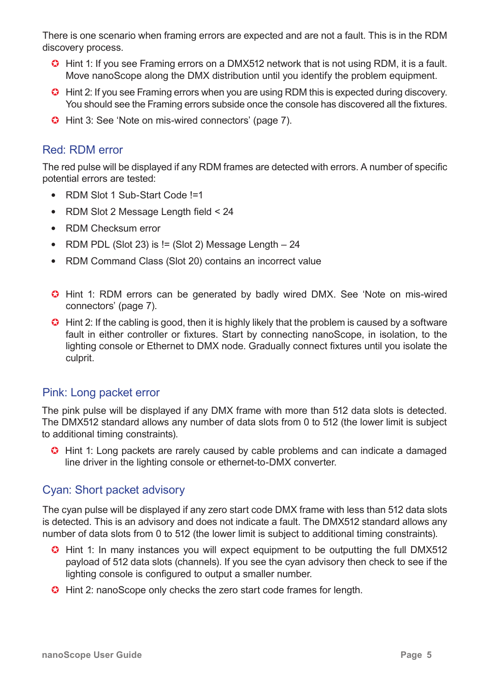There is one scenario when framing errors are expected and are not a fault. This is in the RDM discovery process.

- G Hint 1: If you see Framing errors on a DMX512 network that is not using RDM, it is a fault. Move nanoScope along the DMX distribution until you identify the problem equipment.
- **G** Hint 2: If you see Framing errors when you are using RDM this is expected during discovery. You should see the Framing errors subside once the console has discovered all the fixtures.
- **G** Hint 3: See 'Note on mis-wired connectors' (page 7).

#### Red: RDM error

The red pulse will be displayed if any RDM frames are detected with errors. A number of specific potential errors are tested:

- RDM Slot 1 Sub-Start Code !=1
- RDM Slot 2 Message Length field < 24
- RDM Checksum error
- RDM PDL (Slot 23) is  $!=$  (Slot 2) Message Length  $-24$
- RDM Command Class (Slot 20) contains an incorrect value
- Hint 1: RDM errors can be generated by badly wired DMX. See 'Note on mis-wired connectors' (page 7).
- $\bullet$  Hint 2: If the cabling is good, then it is highly likely that the problem is caused by a software fault in either controller or fixtures. Start by connecting nanoScope, in isolation, to the lighting console or Ethernet to DMX node. Gradually connect fixtures until you isolate the culprit.

#### Pink: Long packet error

The pink pulse will be displayed if any DMX frame with more than 512 data slots is detected. The DMX512 standard allows any number of data slots from 0 to 512 (the lower limit is subject to additional timing constraints).

**G** Hint 1: Long packets are rarely caused by cable problems and can indicate a damaged line driver in the lighting console or ethernet-to-DMX converter.

#### Cyan: Short packet advisory

The cyan pulse will be displayed if any zero start code DMX frame with less than 512 data slots is detected. This is an advisory and does not indicate a fault. The DMX512 standard allows any number of data slots from 0 to 512 (the lower limit is subject to additional timing constraints).

- G Hint 1: In many instances you will expect equipment to be outputting the full DMX512 payload of 512 data slots (channels). If you see the cyan advisory then check to see if the lighting console is configured to output a smaller number.
- **C** Hint 2: nanoScope only checks the zero start code frames for length.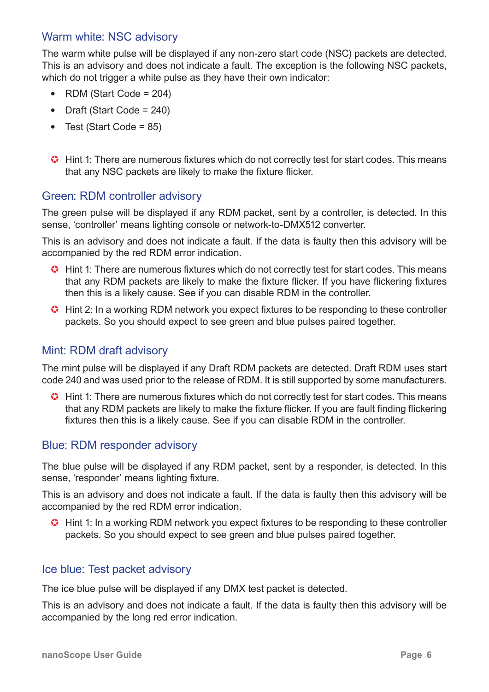#### Warm white: NSC advisory

The warm white pulse will be displayed if any non-zero start code (NSC) packets are detected. This is an advisory and does not indicate a fault. The exception is the following NSC packets, which do not trigger a white pulse as they have their own indicator:

- RDM (Start Code =  $204$ )
- Draft (Start Code =  $240$ )
- Test (Start Code =  $85$ )
- **G** Hint 1: There are numerous fixtures which do not correctly test for start codes. This means that any NSC packets are likely to make the fixture flicker.

#### Green: RDM controller advisory

The green pulse will be displayed if any RDM packet, sent by a controller, is detected. In this sense, 'controller' means lighting console or network-to-DMX512 converter.

This is an advisory and does not indicate a fault. If the data is faulty then this advisory will be accompanied by the red RDM error indication.

- **G** Hint 1: There are numerous fixtures which do not correctly test for start codes. This means that any RDM packets are likely to make the fixture flicker. If you have flickering fixtures then this is a likely cause. See if you can disable RDM in the controller.
- **G** Hint 2: In a working RDM network you expect fixtures to be responding to these controller packets. So you should expect to see green and blue pulses paired together.

#### Mint: RDM draft advisory

The mint pulse will be displayed if any Draft RDM packets are detected. Draft RDM uses start code 240 and was used prior to the release of RDM. It is still supported by some manufacturers.

**G** Hint 1: There are numerous fixtures which do not correctly test for start codes. This means that any RDM packets are likely to make the fixture flicker. If you are fault finding flickering fixtures then this is a likely cause. See if you can disable RDM in the controller.

#### Blue: RDM responder advisory

The blue pulse will be displayed if any RDM packet, sent by a responder, is detected. In this sense, 'responder' means lighting fixture.

This is an advisory and does not indicate a fault. If the data is faulty then this advisory will be accompanied by the red RDM error indication.

**G** Hint 1: In a working RDM network you expect fixtures to be responding to these controller packets. So you should expect to see green and blue pulses paired together.

#### Ice blue: Test packet advisory

The ice blue pulse will be displayed if any DMX test packet is detected.

This is an advisory and does not indicate a fault. If the data is faulty then this advisory will be accompanied by the long red error indication.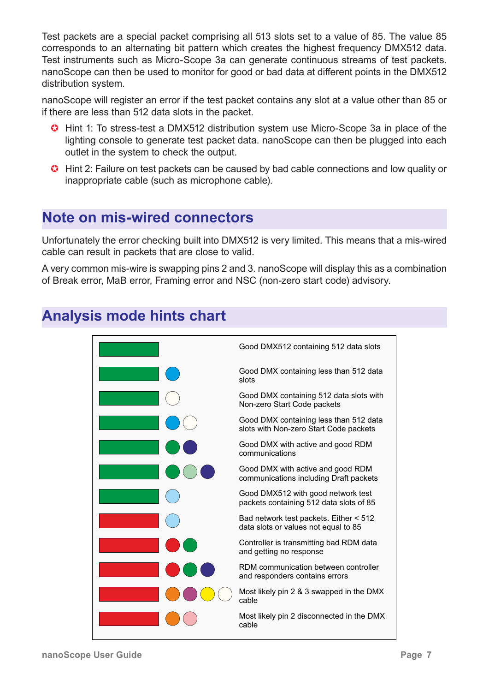Test packets are a special packet comprising all 513 slots set to a value of 85. The value 85 corresponds to an alternating bit pattern which creates the highest frequency DMX512 data. Test instruments such as Micro-Scope 3a can generate continuous streams of test packets. nanoScope can then be used to monitor for good or bad data at different points in the DMX512 distribution system.

nanoScope will register an error if the test packet contains any slot at a value other than 85 or if there are less than 512 data slots in the packet.

- **G** Hint 1: To stress-test a DMX512 distribution system use Micro-Scope 3a in place of the lighting console to generate test packet data. nanoScope can then be plugged into each outlet in the system to check the output.
- **G** Hint 2: Failure on test packets can be caused by bad cable connections and low quality or inappropriate cable (such as microphone cable).

# **Note on mis-wired connectors**

Unfortunately the error checking built into DMX512 is very limited. This means that a mis-wired cable can result in packets that are close to valid.

A very common mis-wire is swapping pins 2 and 3. nanoScope will display this as a combination of Break error, MaB error, Framing error and NSC (non-zero start code) advisory.

# **Analysis mode hints chart**